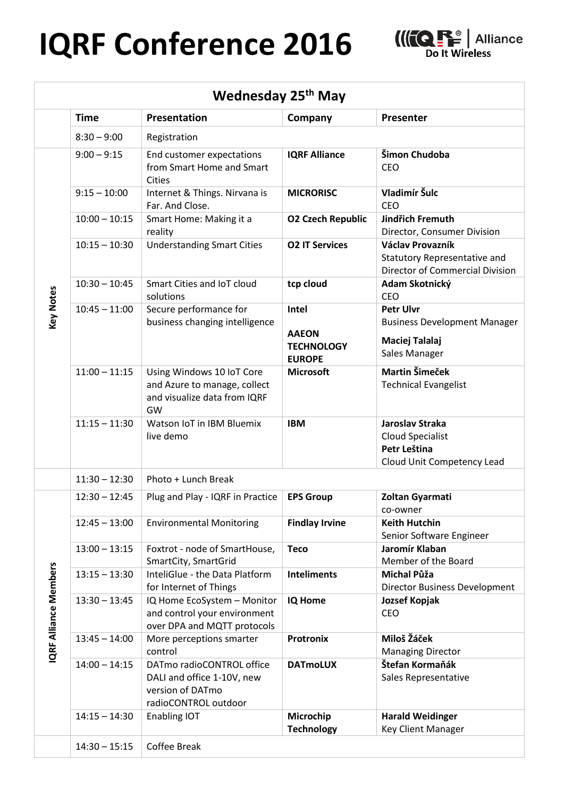## $\overline{a}$ **IQRF Conference 2016**



| Wednesday 25 <sup>th</sup> May |                 |                                                                                                     |                                                             |                                                                                            |  |  |
|--------------------------------|-----------------|-----------------------------------------------------------------------------------------------------|-------------------------------------------------------------|--------------------------------------------------------------------------------------------|--|--|
|                                | <b>Time</b>     | Presentation                                                                                        | Company                                                     | Presenter                                                                                  |  |  |
|                                | $8:30 - 9:00$   | Registration                                                                                        |                                                             |                                                                                            |  |  |
| <b>Key Notes</b>               | $9:00 - 9:15$   | End customer expectations<br>from Smart Home and Smart<br><b>Cities</b>                             | <b>IQRF Alliance</b>                                        | Šimon Chudoba<br><b>CEO</b>                                                                |  |  |
|                                | $9:15 - 10:00$  | Internet & Things. Nirvana is<br>Far. And Close.                                                    | <b>MICRORISC</b>                                            | Vladimír Šulc<br><b>CEO</b>                                                                |  |  |
|                                | $10:00 - 10:15$ | Smart Home: Making it a<br>reality                                                                  | <b>O2 Czech Republic</b>                                    | <b>Jindřich Fremuth</b><br>Director, Consumer Division                                     |  |  |
|                                | $10:15 - 10:30$ | <b>Understanding Smart Cities</b>                                                                   | <b>O2 IT Services</b>                                       | Václav Provazník<br>Statutory Representative and<br><b>Director of Commercial Division</b> |  |  |
|                                | $10:30 - 10:45$ | Smart Cities and IoT cloud<br>solutions                                                             | tcp cloud                                                   | Adam Skotnický<br><b>CEO</b>                                                               |  |  |
|                                | $10:45 - 11:00$ | Secure performance for<br>business changing intelligence                                            | Intel<br><b>AAEON</b><br><b>TECHNOLOGY</b><br><b>EUROPE</b> | <b>Petr Ulvr</b><br><b>Business Development Manager</b><br>Maciej Talalaj<br>Sales Manager |  |  |
|                                | $11:00 - 11:15$ | Using Windows 10 IoT Core<br>and Azure to manage, collect<br>and visualize data from IQRF<br>GW     | <b>Microsoft</b>                                            | <b>Martin Šimeček</b><br><b>Technical Evangelist</b>                                       |  |  |
|                                | $11:15 - 11:30$ | Watson IoT in IBM Bluemix<br>live demo                                                              | <b>IBM</b>                                                  | Jaroslav Straka<br><b>Cloud Specialist</b><br>Petr Leština<br>Cloud Unit Competency Lead   |  |  |
|                                | $11:30 - 12:30$ | Photo + Lunch Break                                                                                 |                                                             |                                                                                            |  |  |
| <b>IQRF Alliance Members</b>   | $12:30 - 12:45$ | Plug and Play - IQRF in Practice                                                                    | <b>EPS Group</b>                                            | Zoltan Gyarmati<br>co-owner                                                                |  |  |
|                                | $12:45 - 13:00$ | <b>Environmental Monitoring</b>                                                                     | <b>Findlay Irvine</b>                                       | <b>Keith Hutchin</b><br>Senior Software Engineer                                           |  |  |
|                                | $13:00 - 13:15$ | Foxtrot - node of SmartHouse,<br>SmartCity, SmartGrid                                               | <b>Teco</b>                                                 | Jaromír Klaban<br>Member of the Board                                                      |  |  |
|                                | $13:15 - 13:30$ | InteliGlue - the Data Platform<br>for Internet of Things                                            | <b>Inteliments</b>                                          | <b>Michal Půža</b><br>Director Business Development                                        |  |  |
|                                | $13:30 - 13:45$ | IQ Home EcoSystem - Monitor<br>and control your environment<br>over DPA and MQTT protocols          | <b>IQ Home</b>                                              | Jozsef Kopjak<br>CEO                                                                       |  |  |
|                                | $13:45 - 14:00$ | More perceptions smarter<br>control                                                                 | <b>Protronix</b>                                            | Miloš Žáček<br><b>Managing Director</b>                                                    |  |  |
|                                | $14:00 - 14:15$ | DATmo radioCONTROL office<br>DALI and office 1-10V, new<br>version of DATmo<br>radioCONTROL outdoor | <b>DATmoLUX</b>                                             | Štefan Kormaňák<br>Sales Representative                                                    |  |  |
|                                | $14:15 - 14:30$ | Enabling IOT                                                                                        | Microchip<br><b>Technology</b>                              | <b>Harald Weidinger</b><br>Key Client Manager                                              |  |  |
|                                | $14:30 - 15:15$ | Coffee Break                                                                                        |                                                             |                                                                                            |  |  |